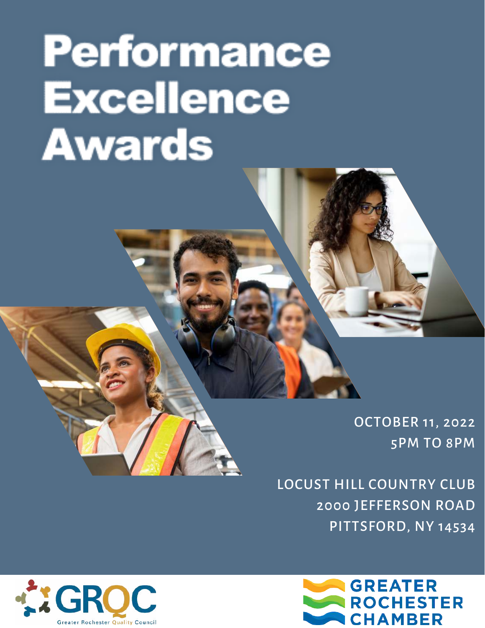## **Performance Excellence Awards**

OCTOBER 11, 2022 5PM TO 8PM

LOCUST HILL COUNTRY CLUB 2000 JEFFERSON ROAD PITTSFORD, NY 14534